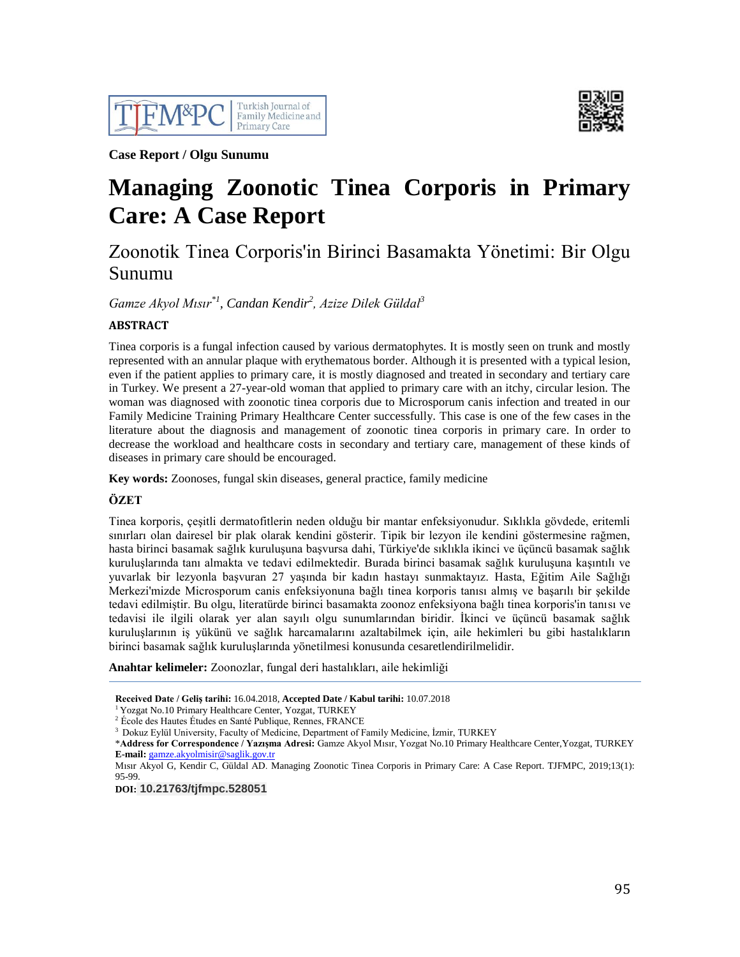



**Case Report / Olgu Sunumu**

# **Managing Zoonotic Tinea Corporis in Primary Care: A Case Report**

# Zoonotik Tinea Corporis'in Birinci Basamakta Yönetimi: Bir Olgu Sunumu

*Gamze Akyol Mısır\*1, Candan Kendir<sup>2</sup> , Azize Dilek Güldal<sup>3</sup>*

# **ABSTRACT**

Tinea corporis is a fungal infection caused by various dermatophytes. It is mostly seen on trunk and mostly represented with an annular plaque with erythematous border. Although it is presented with a typical lesion, even if the patient applies to primary care, it is mostly diagnosed and treated in secondary and tertiary care in Turkey. We present a 27-year-old woman that applied to primary care with an itchy, circular lesion. The woman was diagnosed with zoonotic tinea corporis due to Microsporum canis infection and treated in our Family Medicine Training Primary Healthcare Center successfully. This case is one of the few cases in the literature about the diagnosis and management of zoonotic tinea corporis in primary care. In order to decrease the workload and healthcare costs in secondary and tertiary care, management of these kinds of diseases in primary care should be encouraged.

**Key words:** Zoonoses, fungal skin diseases, general practice, family medicine

# **ÖZET**

Tinea korporis, çeşitli dermatofitlerin neden olduğu bir mantar enfeksiyonudur. Sıklıkla gövdede, eritemli sınırları olan dairesel bir plak olarak kendini gösterir. Tipik bir lezyon ile kendini göstermesine rağmen, hasta birinci basamak sağlık kuruluşuna başvursa dahi, Türkiye'de sıklıkla ikinci ve üçüncü basamak sağlık kuruluşlarında tanı almakta ve tedavi edilmektedir. Burada birinci basamak sağlık kuruluşuna kaşıntılı ve yuvarlak bir lezyonla başvuran 27 yaşında bir kadın hastayı sunmaktayız. Hasta, Eğitim Aile Sağlığı Merkezi'mizde Microsporum canis enfeksiyonuna bağlı tinea korporis tanısı almış ve başarılı bir şekilde tedavi edilmiştir. Bu olgu, literatürde birinci basamakta zoonoz enfeksiyona bağlı tinea korporis'in tanısı ve tedavisi ile ilgili olarak yer alan sayılı olgu sunumlarından biridir. İkinci ve üçüncü basamak sağlık kuruluşlarının iş yükünü ve sağlık harcamalarını azaltabilmek için, aile hekimleri bu gibi hastalıkların birinci basamak sağlık kuruluşlarında yönetilmesi konusunda cesaretlendirilmelidir.

**Anahtar kelimeler:** Zoonozlar, fungal deri hastalıkları, aile hekimliği

**Received Date / Geliş tarihi:** 16.04.2018, **Accepted Date / Kabul tarihi:** 10.07.2018

<sup>1</sup> Yozgat No.10 Primary Healthcare Center, Yozgat, TURKEY

<sup>2</sup> École des Hautes Études en Santé Publique, Rennes, FRANCE

<sup>3</sup> Dokuz Eylül University, Faculty of Medicine, Department of Family Medicine, İzmir, TURKEY

\***Address for Correspondence / Yazışma Adresi:** Gamze Akyol Mısır, Yozgat No.10 Primary Healthcare Center,Yozgat, TURKEY **E-mail:** [gamze.akyolmisir@saglik.gov.tr](mailto:gamze.akyolmisir@saglik.gov.tr)

Mısır Akyol G, Kendir C, Güldal AD. Managing Zoonotic Tinea Corporis in Primary Care: A Case Report. TJFMPC, 2019;13(1): 95-99.

**DOI: 10.21763/tjfmpc.528051**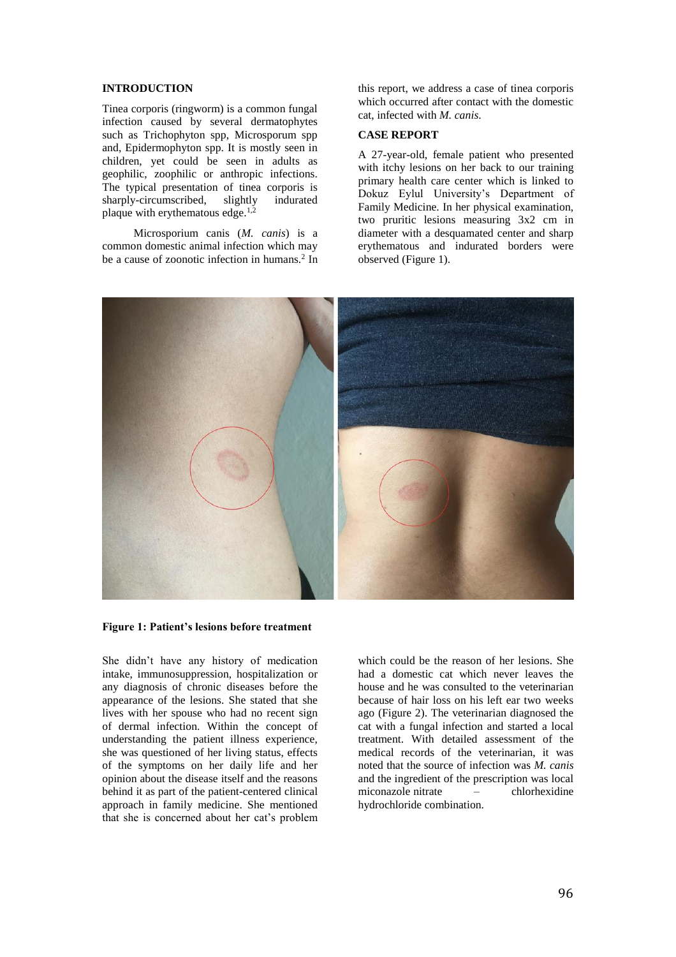### **INTRODUCTION**

Tinea corporis (ringworm) is a common fungal infection caused by several dermatophytes such as Trichophyton spp, Microsporum spp and, Epidermophyton spp. It is mostly seen in children, yet could be seen in adults as geophilic, zoophilic or anthropic infections. The typical presentation of tinea corporis is<br>sharply-circumscribed. slightly indurated sharply-circumscribed, slightly plaque with erythematous edge.<sup>1,2</sup>

 Microsporium canis (*M. canis*) is a common domestic animal infection which may be a cause of zoonotic infection in humans.<sup>2</sup> In this report, we address a case of tinea corporis which occurred after contact with the domestic cat, infected with *M. canis*.

### **CASE REPORT**

A 27-year-old, female patient who presented with itchy lesions on her back to our training primary health care center which is linked to Dokuz Eylul University's Department of Family Medicine. In her physical examination, two pruritic lesions measuring 3x2 cm in diameter with a desquamated center and sharp erythematous and indurated borders were observed (Figure 1).



**Figure 1: Patient's lesions before treatment**

She didn't have any history of medication intake, immunosuppression, hospitalization or any diagnosis of chronic diseases before the appearance of the lesions. She stated that she lives with her spouse who had no recent sign of dermal infection. Within the concept of understanding the patient illness experience, she was questioned of her living status, effects of the symptoms on her daily life and her opinion about the disease itself and the reasons behind it as part of the patient-centered clinical approach in family medicine. She mentioned that she is concerned about her cat's problem

which could be the reason of her lesions. She had a domestic cat which never leaves the house and he was consulted to the veterinarian because of hair loss on his left ear two weeks ago (Figure 2). The veterinarian diagnosed the cat with a fungal infection and started a local treatment. With detailed assessment of the medical records of the veterinarian, it was noted that the source of infection was *M. canis* and the ingredient of the prescription was local miconazole nitrate – chlorhexidine hydrochloride combination.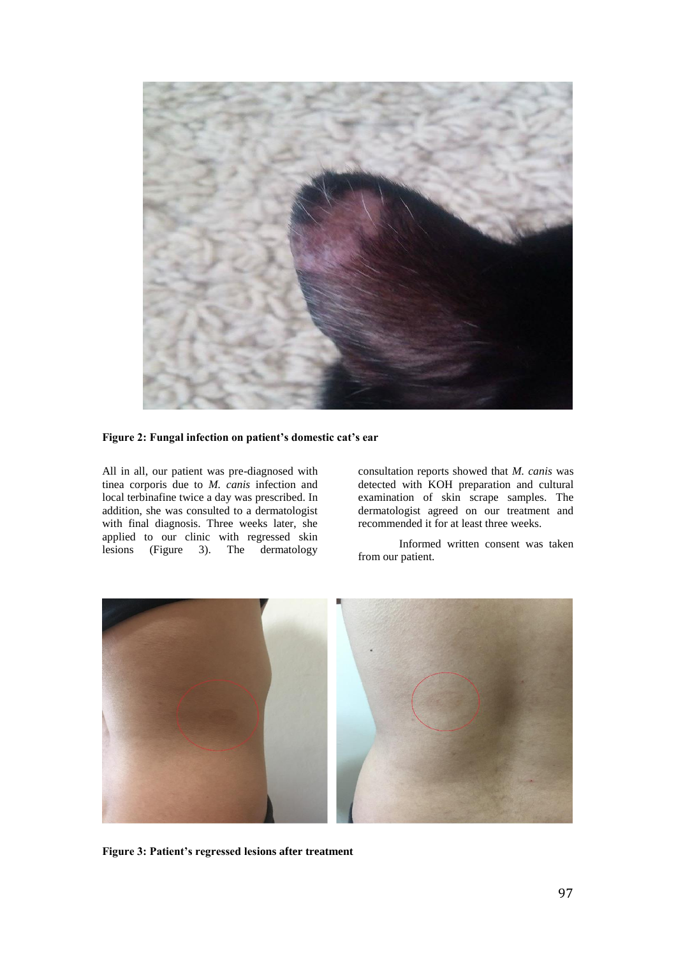

# **Figure 2: Fungal infection on patient's domestic cat's ear**

All in all, our patient was pre-diagnosed with tinea corporis due to *M. canis* infection and local terbinafine twice a day was prescribed. In addition, she was consulted to a dermatologist with final diagnosis. Three weeks later, she applied to our clinic with regressed skin lesions (Figure 3). The dermatology

consultation reports showed that *M. canis* was detected with KOH preparation and cultural examination of skin scrape samples. The dermatologist agreed on our treatment and recommended it for at least three weeks.

Informed written consent was taken from our patient.



**Figure 3: Patient's regressed lesions after treatment**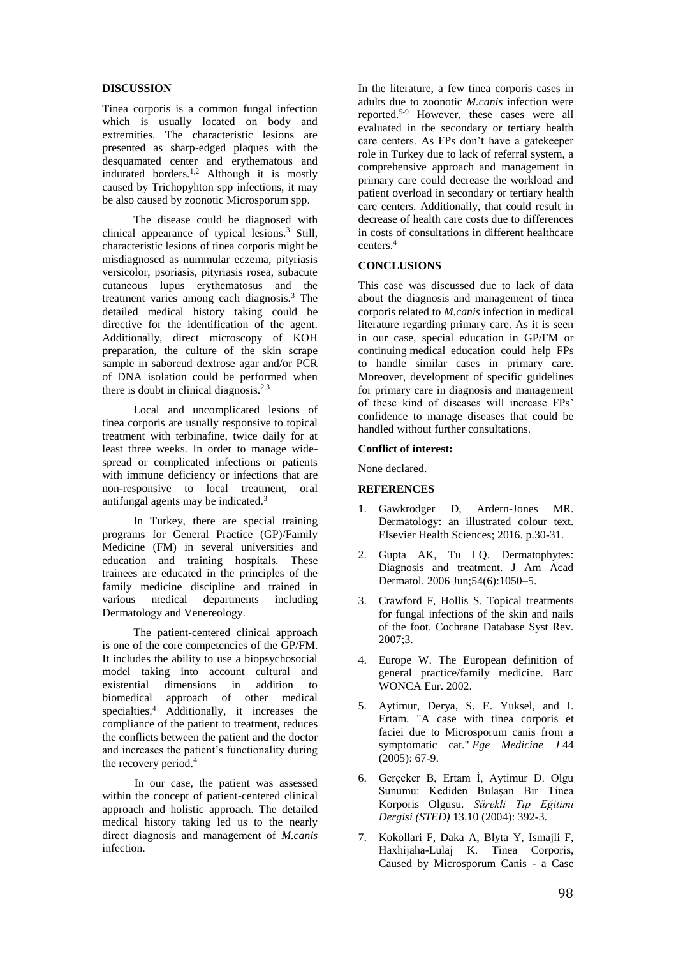# **DISCUSSION**

Tinea corporis is a common fungal infection which is usually located on body and extremities. The characteristic lesions are presented as sharp-edged plaques with the desquamated center and erythematous and indurated borders.1,2 Although it is mostly caused by Trichopyhton spp infections, it may be also caused by zoonotic Microsporum spp.

 The disease could be diagnosed with clinical appearance of typical lesions.<sup>3</sup> Still, characteristic lesions of tinea corporis might be misdiagnosed as nummular eczema, pityriasis versicolor, psoriasis, pityriasis rosea, subacute cutaneous lupus erythematosus and the treatment varies among each diagnosis.<sup>3</sup> The detailed medical history taking could be directive for the identification of the agent. Additionally, direct microscopy of KOH preparation, the culture of the skin scrape sample in saboreud dextrose agar and/or PCR of DNA isolation could be performed when there is doubt in clinical diagnosis.<sup>2,3</sup>

 Local and uncomplicated lesions of tinea corporis are usually responsive to topical treatment with terbinafine, twice daily for at least three weeks. In order to manage widespread or complicated infections or patients with immune deficiency or infections that are non-responsive to local treatment, oral antifungal agents may be indicated.<sup>3</sup>

 In Turkey, there are special training programs for General Practice (GP)/Family Medicine (FM) in several universities and education and training hospitals. These trainees are educated in the principles of the family medicine discipline and trained in various medical departments including Dermatology and Venereology.

 The patient-centered clinical approach is one of the core competencies of the GP/FM. It includes the ability to use a biopsychosocial model taking into account cultural and existential dimensions in addition to biomedical approach of other medical specialties.<sup>4</sup> Additionally, it increases the compliance of the patient to treatment, reduces the conflicts between the patient and the doctor and increases the patient's functionality during the recovery period.<sup>4</sup>

In our case, the patient was assessed within the concept of patient-centered clinical approach and holistic approach. The detailed medical history taking led us to the nearly direct diagnosis and management of *M.canis*  infection.

In the literature, a few tinea corporis cases in adults due to zoonotic *M.canis* infection were reported.5-9 However, these cases were all evaluated in the secondary or tertiary health care centers. As FPs don't have a gatekeeper role in Turkey due to lack of referral system, a comprehensive approach and management in primary care could decrease the workload and patient overload in secondary or tertiary health care centers. Additionally, that could result in decrease of health care costs due to differences in costs of consultations in different healthcare centers.<sup>4</sup>

#### **CONCLUSIONS**

This case was discussed due to lack of data about the diagnosis and management of tinea corporis related to *M.canis* infection in medical literature regarding primary care. As it is seen in our case, special education in GP/FM or continuing medical education could help FPs to handle similar cases in primary care. Moreover, development of specific guidelines for primary care in diagnosis and management of these kind of diseases will increase FPs' confidence to manage diseases that could be handled without further consultations.

#### **Conflict of interest:**

None declared.

### **REFERENCES**

- 1. Gawkrodger D, Ardern-Jones MR. Dermatology: an illustrated colour text. Elsevier Health Sciences; 2016. p.30-31.
- 2. Gupta AK, Tu LQ. Dermatophytes: Diagnosis and treatment. J Am Acad Dermatol. 2006 Jun;54(6):1050–5.
- 3. Crawford F, Hollis S. Topical treatments for fungal infections of the skin and nails of the foot. Cochrane Database Syst Rev. 2007;3.
- 4. Europe W. The European definition of general practice/family medicine. Barc WONCA Eur. 2002.
- 5. Aytimur, Derya, S. E. Yuksel, and I. Ertam. "A case with tinea corporis et faciei due to Microsporum canis from a symptomatic cat." *Ege Medicine J* 44 (2005): 67-9.
- 6. Gerçeker B, Ertam İ, Aytimur D. Olgu Sunumu: Kediden Bulaşan Bir Tinea Korporis Olgusu. *Sürekli Tıp Eğitimi Dergisi (STED)* 13.10 (2004): 392-3.
- 7. Kokollari F, Daka A, Blyta Y, Ismajli F, Haxhijaha-Lulaj K. Tinea Corporis, Caused by Microsporum Canis - a Case